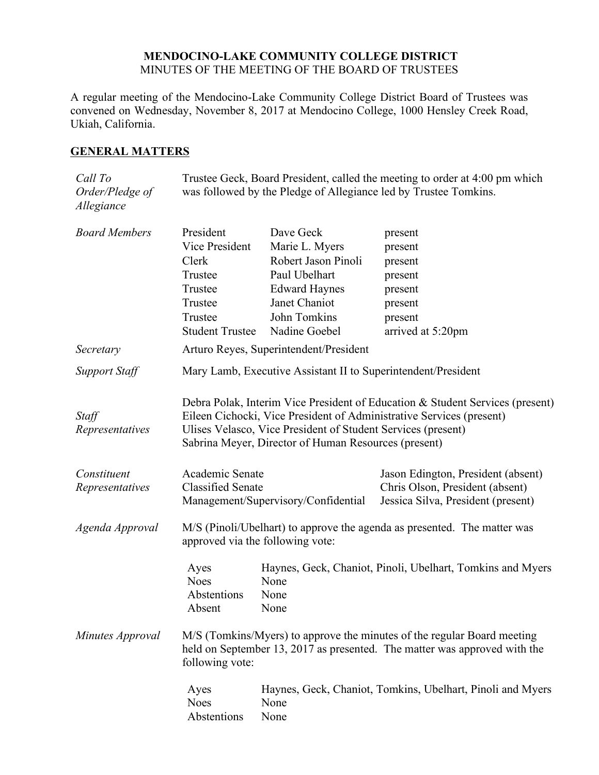## **MENDOCINO-LAKE COMMUNITY COLLEGE DISTRICT** MINUTES OF THE MEETING OF THE BOARD OF TRUSTEES

A regular meeting of the Mendocino-Lake Community College District Board of Trustees was convened on Wednesday, November 8, 2017 at Mendocino College, 1000 Hensley Creek Road, Ukiah, California.

## **GENERAL MATTERS**

| Call To<br>Order/Pledge of<br>Allegiance | Trustee Geck, Board President, called the meeting to order at 4:00 pm which<br>was followed by the Pledge of Allegiance led by Trustee Tomkins.                                                                                                                               |                                                    |                                                                                                             |  |
|------------------------------------------|-------------------------------------------------------------------------------------------------------------------------------------------------------------------------------------------------------------------------------------------------------------------------------|----------------------------------------------------|-------------------------------------------------------------------------------------------------------------|--|
| <b>Board Members</b>                     | President<br>Vice President<br>Clerk                                                                                                                                                                                                                                          | Dave Geck<br>Marie L. Myers<br>Robert Jason Pinoli | present<br>present<br>present                                                                               |  |
|                                          | Trustee                                                                                                                                                                                                                                                                       | Paul Ubelhart                                      | present                                                                                                     |  |
|                                          | Trustee<br>Trustee                                                                                                                                                                                                                                                            | <b>Edward Haynes</b><br>Janet Chaniot              | present<br>present                                                                                          |  |
|                                          | Trustee                                                                                                                                                                                                                                                                       | John Tomkins                                       | present                                                                                                     |  |
|                                          | <b>Student Trustee</b>                                                                                                                                                                                                                                                        | Nadine Goebel                                      | arrived at 5:20pm                                                                                           |  |
| Secretary                                | Arturo Reyes, Superintendent/President                                                                                                                                                                                                                                        |                                                    |                                                                                                             |  |
| <b>Support Staff</b>                     | Mary Lamb, Executive Assistant II to Superintendent/President                                                                                                                                                                                                                 |                                                    |                                                                                                             |  |
| Staff<br>Representatives                 | Debra Polak, Interim Vice President of Education & Student Services (present)<br>Eileen Cichocki, Vice President of Administrative Services (present)<br>Ulises Velasco, Vice President of Student Services (present)<br>Sabrina Meyer, Director of Human Resources (present) |                                                    |                                                                                                             |  |
| Constituent<br>Representatives           | Academic Senate<br><b>Classified Senate</b><br>Management/Supervisory/Confidential                                                                                                                                                                                            |                                                    | Jason Edington, President (absent)<br>Chris Olson, President (absent)<br>Jessica Silva, President (present) |  |
| Agenda Approval                          | M/S (Pinoli/Ubelhart) to approve the agenda as presented. The matter was<br>approved via the following vote:                                                                                                                                                                  |                                                    |                                                                                                             |  |
|                                          | Ayes<br><b>Noes</b><br>Abstentions<br>Absent                                                                                                                                                                                                                                  | None<br>None<br>None                               | Haynes, Geck, Chaniot, Pinoli, Ubelhart, Tomkins and Myers                                                  |  |
| Minutes Approval                         | M/S (Tomkins/Myers) to approve the minutes of the regular Board meeting<br>held on September 13, 2017 as presented. The matter was approved with the<br>following vote:                                                                                                       |                                                    |                                                                                                             |  |
|                                          | Ayes<br><b>Noes</b><br>Abstentions                                                                                                                                                                                                                                            | None<br>None                                       | Haynes, Geck, Chaniot, Tomkins, Ubelhart, Pinoli and Myers                                                  |  |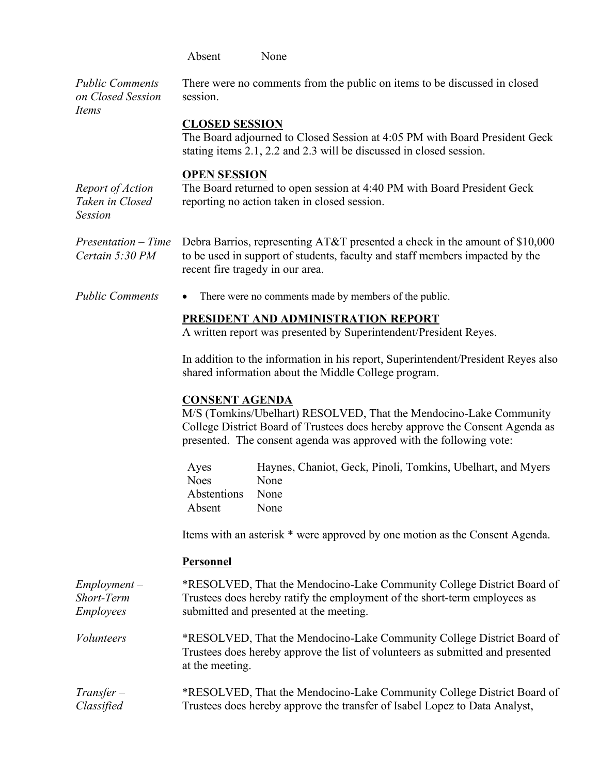|                                                         | Absent<br>None                                                                                                                                                                                                                                     |  |  |
|---------------------------------------------------------|----------------------------------------------------------------------------------------------------------------------------------------------------------------------------------------------------------------------------------------------------|--|--|
| <b>Public Comments</b><br>on Closed Session<br>Items    | There were no comments from the public on items to be discussed in closed<br>session.                                                                                                                                                              |  |  |
|                                                         | <b>CLOSED SESSION</b><br>The Board adjourned to Closed Session at 4:05 PM with Board President Geck<br>stating items 2.1, 2.2 and 2.3 will be discussed in closed session.                                                                         |  |  |
| Report of Action<br>Taken in Closed<br><b>Session</b>   | <b>OPEN SESSION</b><br>The Board returned to open session at 4:40 PM with Board President Geck<br>reporting no action taken in closed session.                                                                                                     |  |  |
| $Presentation-Time$<br>Certain 5:30 PM                  | Debra Barrios, representing AT&T presented a check in the amount of \$10,000<br>to be used in support of students, faculty and staff members impacted by the<br>recent fire tragedy in our area.                                                   |  |  |
| <b>Public Comments</b>                                  | There were no comments made by members of the public.<br>٠                                                                                                                                                                                         |  |  |
|                                                         | PRESIDENT AND ADMINISTRATION REPORT<br>A written report was presented by Superintendent/President Reyes.                                                                                                                                           |  |  |
|                                                         | In addition to the information in his report, Superintendent/President Reyes also<br>shared information about the Middle College program.                                                                                                          |  |  |
|                                                         | <b>CONSENT AGENDA</b><br>M/S (Tomkins/Ubelhart) RESOLVED, That the Mendocino-Lake Community<br>College District Board of Trustees does hereby approve the Consent Agenda as<br>presented. The consent agenda was approved with the following vote: |  |  |
|                                                         | Haynes, Chaniot, Geck, Pinoli, Tomkins, Ubelhart, and Myers<br>Ayes<br><b>Noes</b><br>None<br>Abstentions<br>None<br>None<br>Absent                                                                                                                |  |  |
|                                                         | Items with an asterisk * were approved by one motion as the Consent Agenda.                                                                                                                                                                        |  |  |
|                                                         | Personnel                                                                                                                                                                                                                                          |  |  |
| $Employment -$<br><b>Short-Term</b><br><b>Employees</b> | *RESOLVED, That the Mendocino-Lake Community College District Board of<br>Trustees does hereby ratify the employment of the short-term employees as<br>submitted and presented at the meeting.                                                     |  |  |
| <i>Volunteers</i>                                       | *RESOLVED, That the Mendocino-Lake Community College District Board of<br>Trustees does hereby approve the list of volunteers as submitted and presented<br>at the meeting.                                                                        |  |  |
| $Transfer-$<br>Classified                               | *RESOLVED, That the Mendocino-Lake Community College District Board of<br>Trustees does hereby approve the transfer of Isabel Lopez to Data Analyst,                                                                                               |  |  |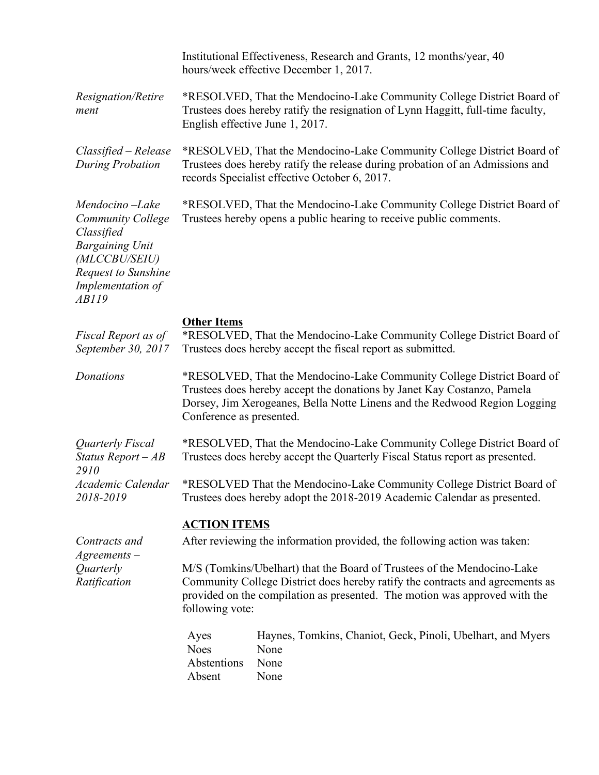|                                                                                                                                                          |                                                                                                                                                                                                                                                            | Institutional Effectiveness, Research and Grants, 12 months/year, 40<br>hours/week effective December 1, 2017. |  |  |
|----------------------------------------------------------------------------------------------------------------------------------------------------------|------------------------------------------------------------------------------------------------------------------------------------------------------------------------------------------------------------------------------------------------------------|----------------------------------------------------------------------------------------------------------------|--|--|
| Resignation/Retire<br>ment                                                                                                                               | *RESOLVED, That the Mendocino-Lake Community College District Board of<br>Trustees does hereby ratify the resignation of Lynn Haggitt, full-time faculty,<br>English effective June 1, 2017.                                                               |                                                                                                                |  |  |
| Classified – Release<br><b>During Probation</b>                                                                                                          | *RESOLVED, That the Mendocino-Lake Community College District Board of<br>Trustees does hereby ratify the release during probation of an Admissions and<br>records Specialist effective October 6, 2017.                                                   |                                                                                                                |  |  |
| Mendocino-Lake<br><b>Community College</b><br>Classified<br><b>Bargaining Unit</b><br>(MLCCBU/SEIU)<br>Request to Sunshine<br>Implementation of<br>AB119 | *RESOLVED, That the Mendocino-Lake Community College District Board of<br>Trustees hereby opens a public hearing to receive public comments.                                                                                                               |                                                                                                                |  |  |
| Fiscal Report as of                                                                                                                                      | <b>Other Items</b>                                                                                                                                                                                                                                         | *RESOLVED, That the Mendocino-Lake Community College District Board of                                         |  |  |
| September 30, 2017                                                                                                                                       | Trustees does hereby accept the fiscal report as submitted.                                                                                                                                                                                                |                                                                                                                |  |  |
| Donations                                                                                                                                                | *RESOLVED, That the Mendocino-Lake Community College District Board of<br>Trustees does hereby accept the donations by Janet Kay Costanzo, Pamela<br>Dorsey, Jim Xerogeanes, Bella Notte Linens and the Redwood Region Logging<br>Conference as presented. |                                                                                                                |  |  |
| Quarterly Fiscal<br>Status Report $-AB$                                                                                                                  | *RESOLVED, That the Mendocino-Lake Community College District Board of<br>Trustees does hereby accept the Quarterly Fiscal Status report as presented.                                                                                                     |                                                                                                                |  |  |
| 2910<br>Academic Calendar<br>2018-2019                                                                                                                   | *RESOLVED That the Mendocino-Lake Community College District Board of<br>Trustees does hereby adopt the 2018-2019 Academic Calendar as presented.                                                                                                          |                                                                                                                |  |  |
|                                                                                                                                                          | <b>ACTION ITEMS</b>                                                                                                                                                                                                                                        |                                                                                                                |  |  |
| Contracts and<br>$A$ greements $-$                                                                                                                       |                                                                                                                                                                                                                                                            | After reviewing the information provided, the following action was taken:                                      |  |  |
| Quarterly<br>Ratification                                                                                                                                | M/S (Tomkins/Ubelhart) that the Board of Trustees of the Mendocino-Lake<br>Community College District does hereby ratify the contracts and agreements as<br>provided on the compilation as presented. The motion was approved with the<br>following vote:  |                                                                                                                |  |  |
|                                                                                                                                                          | Ayes<br><b>Noes</b><br>Abstentions<br>Absent                                                                                                                                                                                                               | Haynes, Tomkins, Chaniot, Geck, Pinoli, Ubelhart, and Myers<br>None<br>None<br>None                            |  |  |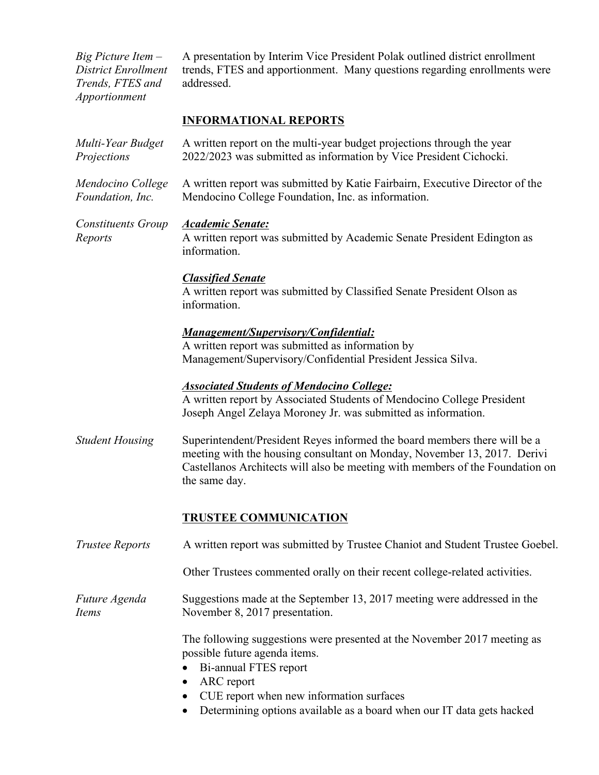*Big Picture Item – District Enrollment Trends, FTES and Apportionment*

A presentation by Interim Vice President Polak outlined district enrollment trends, FTES and apportionment. Many questions regarding enrollments were addressed.

## **INFORMATIONAL REPORTS**

| Multi-Year Budget<br>Projections      | A written report on the multi-year budget projections through the year<br>2022/2023 was submitted as information by Vice President Cichocki.                                                                                                                          |  |  |
|---------------------------------------|-----------------------------------------------------------------------------------------------------------------------------------------------------------------------------------------------------------------------------------------------------------------------|--|--|
| Mendocino College<br>Foundation, Inc. | A written report was submitted by Katie Fairbairn, Executive Director of the<br>Mendocino College Foundation, Inc. as information.                                                                                                                                    |  |  |
| Constituents Group<br>Reports         | <b>Academic Senate:</b><br>A written report was submitted by Academic Senate President Edington as<br>information.                                                                                                                                                    |  |  |
|                                       | <b>Classified Senate</b><br>A written report was submitted by Classified Senate President Olson as<br>information.                                                                                                                                                    |  |  |
|                                       | <b>Management/Supervisory/Confidential:</b><br>A written report was submitted as information by<br>Management/Supervisory/Confidential President Jessica Silva.                                                                                                       |  |  |
|                                       | <b>Associated Students of Mendocino College:</b><br>A written report by Associated Students of Mendocino College President<br>Joseph Angel Zelaya Moroney Jr. was submitted as information.                                                                           |  |  |
| <b>Student Housing</b>                | Superintendent/President Reyes informed the board members there will be a<br>meeting with the housing consultant on Monday, November 13, 2017. Derivi<br>Castellanos Architects will also be meeting with members of the Foundation on<br>the same day.               |  |  |
|                                       | <b>TRUSTEE COMMUNICATION</b>                                                                                                                                                                                                                                          |  |  |
| <b>Trustee Reports</b>                | A written report was submitted by Trustee Chaniot and Student Trustee Goebel.                                                                                                                                                                                         |  |  |
|                                       | Other Trustees commented orally on their recent college-related activities.                                                                                                                                                                                           |  |  |
| Future Agenda<br>Items                | Suggestions made at the September 13, 2017 meeting were addressed in the<br>November 8, 2017 presentation.                                                                                                                                                            |  |  |
|                                       | The following suggestions were presented at the November 2017 meeting as<br>possible future agenda items.<br>Bi-annual FTES report<br>ARC report<br>CUE report when new information surfaces<br>Determining options available as a board when our IT data gets hacked |  |  |